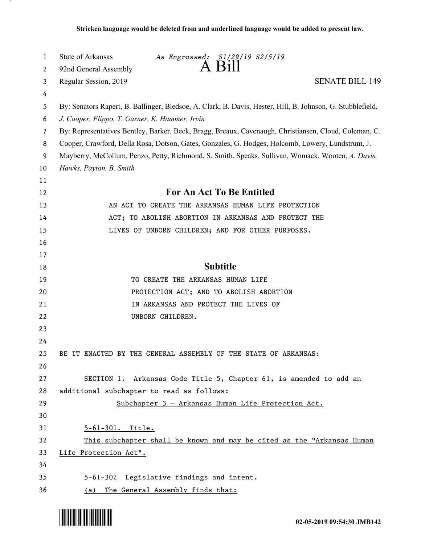| 1  | State of Arkansas<br>As Engrossed: S1/29/19 S2/5/19                                                        |
|----|------------------------------------------------------------------------------------------------------------|
| 2  | 92nd General Assembly                                                                                      |
| 3  | <b>SENATE BILL 149</b><br>Regular Session, 2019                                                            |
| 4  |                                                                                                            |
| 5  | By: Senators Rapert, B. Ballinger, Bledsoe, A. Clark, B. Davis, Hester, Hill, B. Johnson, G. Stubblefield, |
| 6  | J. Cooper, Flippo, T. Garner, K. Hammer, Irvin                                                             |
| 7  | By: Representatives Bentley, Barker, Beck, Bragg, Breaux, Cavenaugh, Christiansen, Cloud, Coleman, C.      |
| 8  | Cooper, Crawford, Della Rosa, Dotson, Gates, Gonzales, G. Hodges, Holcomb, Lowery, Lundstrum, J.           |
| 9  | Mayberry, McCollum, Penzo, Petty, Richmond, S. Smith, Speaks, Sullivan, Womack, Wooten, A. Davis,          |
| 10 | Hawks, Payton, B. Smith                                                                                    |
| 11 |                                                                                                            |
| 12 | <b>For An Act To Be Entitled</b>                                                                           |
| 13 | AN ACT TO CREATE THE ARKANSAS HUMAN LIFE PROTECTION                                                        |
| 14 | ACT; TO ABOLISH ABORTION IN ARKANSAS AND PROTECT THE                                                       |
| 15 | LIVES OF UNBORN CHILDREN; AND FOR OTHER PURPOSES.                                                          |
| 16 |                                                                                                            |
| 17 |                                                                                                            |
| 18 | <b>Subtitle</b>                                                                                            |
| 19 | TO CREATE THE ARKANSAS HUMAN LIFE                                                                          |
| 20 | PROTECTION ACT; AND TO ABOLISH ABORTION                                                                    |
| 21 | IN ARKANSAS AND PROTECT THE LIVES OF                                                                       |
| 22 | UNBORN CHILDREN.                                                                                           |
| 23 |                                                                                                            |
| 24 |                                                                                                            |
| 25 | BE IT ENACTED BY THE GENERAL ASSEMBLY OF THE STATE OF ARKANSAS:                                            |
| 26 |                                                                                                            |
| 27 | SECTION 1. Arkansas Code Title 5, Chapter 61, is amended to add an                                         |
| 28 | additional subchapter to read as follows:                                                                  |
| 29 | Subchapter 3 - Arkansas Human Life Protection Act.                                                         |
| 30 |                                                                                                            |
| 31 | 5-61-301. Title.                                                                                           |
| 32 | This subchapter shall be known and may be cited as the "Arkansas Human"                                    |
| 33 | Life Protection Act".                                                                                      |
| 34 |                                                                                                            |
| 35 | 5-61-302 Legislative findings and intent.                                                                  |
| 36 | The General Assembly finds that:<br>(a)                                                                    |

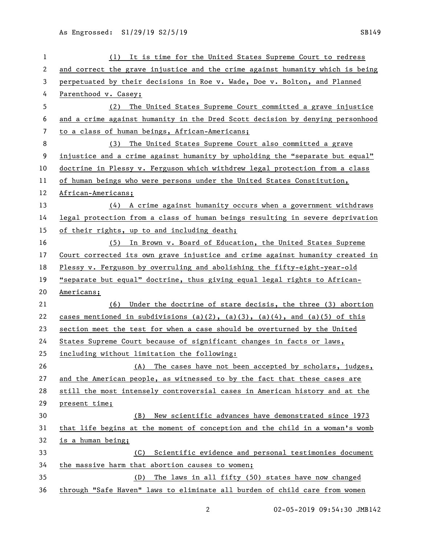| 1  | It is time for the United States Supreme Court to redress<br>(1)              |
|----|-------------------------------------------------------------------------------|
| 2  | and correct the grave injustice and the crime against humanity which is being |
| 3  | perpetuated by their decisions in Roe v. Wade, Doe v. Bolton, and Planned     |
| 4  | Parenthood v. Casey;                                                          |
| 5  | The United States Supreme Court committed a grave injustice<br>(2)            |
| 6  | and a crime against humanity in the Dred Scott decision by denying personhood |
| 7  | to a class of human beings, African-Americans;                                |
| 8  | The United States Supreme Court also committed a grave<br>(3)                 |
| 9  | injustice and a crime against humanity by upholding the "separate but equal"  |
| 10 | doctrine in Plessy v. Ferguson which withdrew legal protection from a class   |
| 11 | of human beings who were persons under the United States Constitution,        |
| 12 | African-Americans;                                                            |
| 13 | $(4)$ A crime against humanity occurs when a government withdraws             |
| 14 | legal protection from a class of human beings resulting in severe deprivation |
| 15 | of their rights, up to and including death;                                   |
| 16 | (5) In Brown v. Board of Education, the United States Supreme                 |
| 17 | Court corrected its own grave injustice and crime against humanity created in |
| 18 | Plessy v. Ferguson by overruling and abolishing the fifty-eight-year-old      |
| 19 | "separate but equal" doctrine, thus giving equal legal rights to African-     |
| 20 | Americans;                                                                    |
| 21 | Under the doctrine of stare decisis, the three (3) abortion<br>(6)            |
| 22 | cases mentioned in subdivisions (a)(2), (a)(3), (a)(4), and (a)(5) of this    |
| 23 | section meet the test for when a case should be overturned by the United      |
| 24 | States Supreme Court because of significant changes in facts or laws,         |
| 25 | including without limitation the following:                                   |
| 26 | The cases have not been accepted by scholars, judges,<br>(A)                  |
| 27 | and the American people, as witnessed to by the fact that these cases are     |
| 28 | still the most intensely controversial cases in American history and at the   |
| 29 | present time;                                                                 |
| 30 | New scientific advances have demonstrated since 1973<br>(B)                   |
| 31 | that life begins at the moment of conception and the child in a woman's womb  |
| 32 | is a human being;                                                             |
| 33 | Scientific evidence and personal testimonies document<br>(C)                  |
| 34 | the massive harm that abortion causes to women;                               |
| 35 | The laws in all fifty (50) states have now changed<br>(D)                     |
| 36 | through "Safe Haven" laws to eliminate all burden of child care from women    |

02-05-2019 09:54:30 JMB142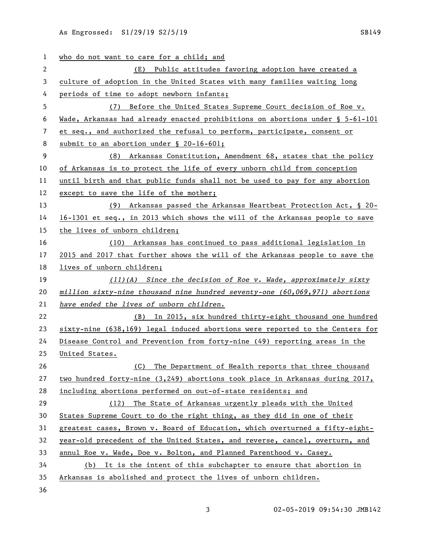| $\mathbf{1}$ | who do not want to care for a child; and                                        |
|--------------|---------------------------------------------------------------------------------|
| 2            | Public attitudes favoring adoption have created a<br>(E)                        |
| 3            | culture of adoption in the United States with many families waiting long        |
| 4            | periods of time to adopt newborn infants;                                       |
| 5            | Before the United States Supreme Court decision of Roe v.<br>(7)                |
| 6            | Wade, Arkansas had already enacted prohibitions on abortions under § 5-61-101   |
| 7            | et seq., and authorized the refusal to perform, participate, consent or         |
| 8            | submit to an abortion under $\S$ 20-16-601;                                     |
| 9            | (8) Arkansas Constitution, Amendment 68, states that the policy                 |
| 10           | of Arkansas is to protect the life of every unborn child from conception        |
| 11           | until birth and that public funds shall not be used to pay for any abortion     |
| 12           | except to save the life of the mother;                                          |
| 13           | (9) Arkansas passed the Arkansas Heartbeat Protection Act, § 20-                |
| 14           | 16-1301 et seq., in 2013 which shows the will of the Arkansas people to save    |
| 15           | the lives of unborn children;                                                   |
| 16           | (10) Arkansas has continued to pass additional legislation in                   |
| 17           | 2015 and 2017 that further shows the will of the Arkansas people to save the    |
| 18           | lives of unborn children;                                                       |
| 19           | $(11)(A)$ Since the decision of Roe v. Wade, approximately sixty                |
| 20           | million sixty-nine thousand nine hundred seventy-one $(60, 069, 971)$ abortions |
| 21           | have ended the lives of unborn children.                                        |
| 22           | (B) In 2015, six hundred thirty-eight thousand one hundred                      |
| 23           | sixty-nine (638,169) legal induced abortions were reported to the Centers for   |
| 24           | Disease Control and Prevention from forty-nine (49) reporting areas in the      |
| 25           | United States.                                                                  |
| 26           | (C) The Department of Health reports that three thousand                        |
| 27           | two hundred forty-nine $(3,249)$ abortions took place in Arkansas during 2017,  |
| 28           | including abortions performed on out-of-state residents; and                    |
| 29           | (12) The State of Arkansas urgently pleads with the United                      |
| 30           | States Supreme Court to do the right thing, as they did in one of their         |
| 31           | greatest cases, Brown v. Board of Education, which overturned a fifty-eight-    |
| 32           | year-old precedent of the United States, and reverse, cancel, overturn, and     |
| 33           | annul Roe v. Wade, Doe v. Bolton, and Planned Parenthood v. Casey.              |
| 34           | (b) It is the intent of this subchapter to ensure that abortion in              |
| 35           | Arkansas is abolished and protect the lives of unborn children.                 |
| 36           |                                                                                 |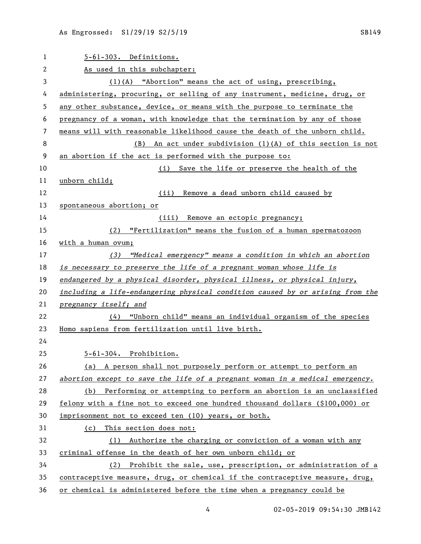| $\mathbf 1$ | 5-61-303. Definitions.                                                        |
|-------------|-------------------------------------------------------------------------------|
| 2           | As used in this subchapter:                                                   |
| 3           | $(1)(A)$ "Abortion" means the act of using, prescribing,                      |
| 4           | administering, procuring, or selling of any instrument, medicine, drug, or    |
| 5           | any other substance, device, or means with the purpose to terminate the       |
| 6           | pregnancy of a woman, with knowledge that the termination by any of those     |
| 7           | means will with reasonable likelihood cause the death of the unborn child.    |
| 8           | (B) An act under subdivision (1)(A) of this section is not                    |
| 9           | an abortion if the act is performed with the purpose to:                      |
| 10          | (i) Save the life or preserve the health of the                               |
| 11          | unborn child;                                                                 |
| 12          | Remove a dead unborn child caused by<br>(iii)                                 |
| 13          | spontaneous abortion; or                                                      |
| 14          | (iii) Remove an ectopic pregnancy;                                            |
| 15          | (2) "Fertilization" means the fusion of a human spermatozoon                  |
| 16          | with a human ovum;                                                            |
| 17          | (3) "Medical emergency" means a condition in which an abortion                |
| 18          | is necessary to preserve the life of a pregnant woman whose life is           |
| 19          | endangered by a physical disorder, physical illness, or physical injury,      |
| 20          | including a life-endangering physical condition caused by or arising from the |
| 21          | pregnancy itself; and                                                         |
| 22          | $(4)$ "Unborn child" means an individual organism of the species              |
| 23          | Homo sapiens from fertilization until live birth.                             |
| 24          |                                                                               |
| 25          | 5-61-304. Prohibition.                                                        |
| 26          | (a) A person shall not purposely perform or attempt to perform an             |
| 27          | abortion except to save the life of a pregnant woman in a medical emergency.  |
| 28          | (b) Performing or attempting to perform an abortion is an unclassified        |
| 29          | felony with a fine not to exceed one hundred thousand dollars (\$100,000) or  |
| 30          | imprisonment not to exceed ten (10) years, or both.                           |
| 31          | This section does not:<br>(c)                                                 |
| 32          | (1) Authorize the charging or conviction of a woman with any                  |
| 33          | criminal offense in the death of her own unborn child; or                     |
| 34          | (2) Prohibit the sale, use, prescription, or administration of a              |
| 35          | contraceptive measure, drug, or chemical if the contraceptive measure, drug,  |
| 36          | or chemical is administered before the time when a pregnancy could be         |